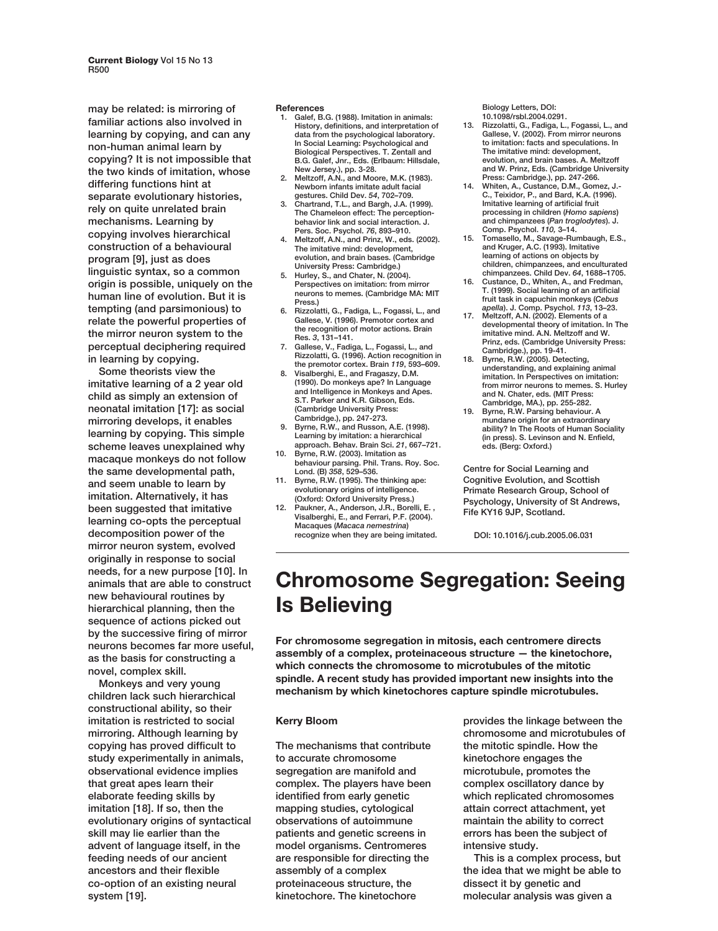**may be related: is mirroring of familiar actions also involved in learning by copying, and can any non-human animal learn by copying? It is not impossible that the two kinds of imitation, whose differing functions hint at separate evolutionary histories, rely on quite unrelated brain mechanisms. Learning by copying involves hierarchical construction of a behavioural program [9], just as does linguistic syntax, so a common origin is possible, uniquely on the human line of evolution. But it is tempting (and parsimonious) to relate the powerful properties of the mirror neuron system to the perceptual deciphering required in learning by copying.** 

**Some theorists view the imitative learning of a 2 year old child as simply an extension of neonatal imitation [17]: as social mirroring develops, it enables learning by copying. This simple scheme leaves unexplained why macaque monkeys do not follow the same developmental path, and seem unable to learn by imitation. Alternatively, it has been suggested that imitative learning co-opts the perceptual decomposition power of the mirror neuron system, evolved originally in response to social needs, for a new purpose [10]. In animals that are able to construct new behavioural routines by hierarchical planning, then the sequence of actions picked out by the successive firing of mirror neurons becomes far more useful, as the basis for constructing a novel, complex skill.** 

**Monkeys and very young children lack such hierarchical constructional ability, so their imitation is restricted to social mirroring. Although learning by copying has proved difficult to study experimentally in animals, observational evidence implies that great apes learn their elaborate feeding skills by imitation [18]. If so, then the evolutionary origins of syntactical skill may lie earlier than the advent of language itself, in the feeding needs of our ancient ancestors and their flexible co-option of an existing neural system [19].**

#### **References**

- **1. Galef, B.G. (1988). Imitation in animals: History, definitions, and interpretation of data from the psychological laboratory. In Social Learning: Psychological and Biological Perspectives. T. Zentall and B.G. Galef, Jnr., Eds. (Erlbaum: Hillsdale, New Jersey.), pp. 3-28.**
- **2. Meltzoff, A.N., and Moore, M.K. (1983). Newborn infants imitate adult facial gestures. Child Dev.** *54***, 702–709.**
- **3. Chartrand, T.L., and Bargh, J.A. (1999). The Chameleon effect: The perceptionbehavior link and social interaction. J. Pers. Soc. Psychol.** *76***, 893–910.**
- **4. Meltzoff, A.N., and Prinz, W., eds. (2002). The imitative mind: development, evolution, and brain bases. (Cambridge University Press: Cambridge.)**
- **5. Hurley, S., and Chater, N. (2004). Perspectives on imitation: from mirror neurons to memes. (Cambridge MA: MIT Press.)**
- **6. Rizzolatti, G., Fadiga, L., Fogassi, L., and Gallese, V. (1996). Premotor cortex and the recognition of motor actions. Brain Res.** *3***, 131–141.**
- **7. Gallese, V., Fadiga, L., Fogassi, L., and Rizzolatti, G. (1996). Action recognition in the premotor cortex. Brain** *119***, 593–609.**
- **8. Visalberghi, E., and Fragaszy, D.M. (1990). Do monkeys ape? In Language and Intelligence in Monkeys and Apes. S.T. Parker and K.R. Gibson, Eds. (Cambridge University Press: Cambridge.), pp. 247-273.**
- **9. Byrne, R.W., and Russon, A.E. (1998). Learning by imitation: a hierarchical approach. Behav. Brain Sci.** *21***, 667–721.**
- **10. Byrne, R.W. (2003). Imitation as behaviour parsing. Phil. Trans. Roy. Soc. Lond. (B)** *358***, 529–536.**
- **11. Byrne, R.W. (1995). The thinking ape: evolutionary origins of intelligence. (Oxford: Oxford University Press.)**
- **12. Paukner, A., Anderson, J.R., Borelli, E. , Visalberghi, E., and Ferrari, P.F. (2004). Macaques (***Macaca nemestrina***) recognize when they are being imitated.**

**Biology Letters, DOI:**

- **10.1098/rsbl.2004.0291. 13. Rizzolatti, G., Fadiga, L., Fogassi, L., and Gallese, V. (2002). From mirror neurons to imitation: facts and speculations. In The imitative mind: development, evolution, and brain bases. A. Meltzoff and W. Prinz, Eds. (Cambridge University**
- **Press: Cambridge.), pp. 247-266. 14. Whiten, A., Custance, D.M., Gomez, J.- C., Teixidor, P., and Bard, K.A. (1996). Imitative learning of artificial fruit processing in children (***Homo sapiens***) and chimpanzees (***Pan troglodytes***). J. Comp. Psychol.** *110,* **3–14.**
- **15. Tomasello, M., Savage-Rumbaugh, E.S., and Kruger, A.C. (1993). Imitative learning of actions on objects by children, chimpanzees, and enculturated chimpanzees. Child Dev.** *64***, 1688–1705.**
- **16. Custance, D., Whiten, A., and Fredman, T. (1999). Social learning of an artificial fruit task in capuchin monkeys (***Cebus apella***). J. Comp. Psychol.** *113***, 13–23.**
- **17. Meltzoff, A.N. (2002). Elements of a developmental theory of imitation. In The imitative mind. A.N. Meltzoff and W. Prinz, eds. (Cambridge University Press:**
- **Cambridge.), pp. 19-41. 18. Byrne, R.W. (2005). Detecting, understanding, and explaining animal imitation. In Perspectives on imitation: from mirror neurons to memes. S. Hurley and N. Chater, eds. (MIT Press: Cambridge, MA.), pp. 255-282.**
- **19. Byrne, R.W. Parsing behaviour. A mundane origin for an extraordinary ability? In The Roots of Human Sociality (in press). S. Levinson and N. Enfield, eds. (Berg: Oxford.)**

**Centre for Social Learning and Cognitive Evolution, and Scottish Primate Research Group, School of Psychology, University of St Andrews, Fife KY16 9JP, Scotland.**

**DOI: 10.1016/j.cub.2005.06.031**

# **Chromosome Segregation: Seeing Is Believing**

**For chromosome segregation in mitosis, each centromere directs assembly of a complex, proteinaceous structure — the kinetochore, which connects the chromosome to microtubules of the mitotic spindle. A recent study has provided important new insights into the mechanism by which kinetochores capture spindle microtubules.**

### **Kerry Bloom**

**The mechanisms that contribute to accurate chromosome segregation are manifold and complex. The players have been identified from early genetic mapping studies, cytological observations of autoimmune patients and genetic screens in model organisms. Centromeres are responsible for directing the assembly of a complex proteinaceous structure, the kinetochore. The kinetochore**

**provides the linkage between the chromosome and microtubules of the mitotic spindle. How the kinetochore engages the microtubule, promotes the complex oscillatory dance by which replicated chromosomes attain correct attachment, yet maintain the ability to correct errors has been the subject of intensive study.** 

**This is a complex process, but the idea that we might be able to dissect it by genetic and molecular analysis was given a**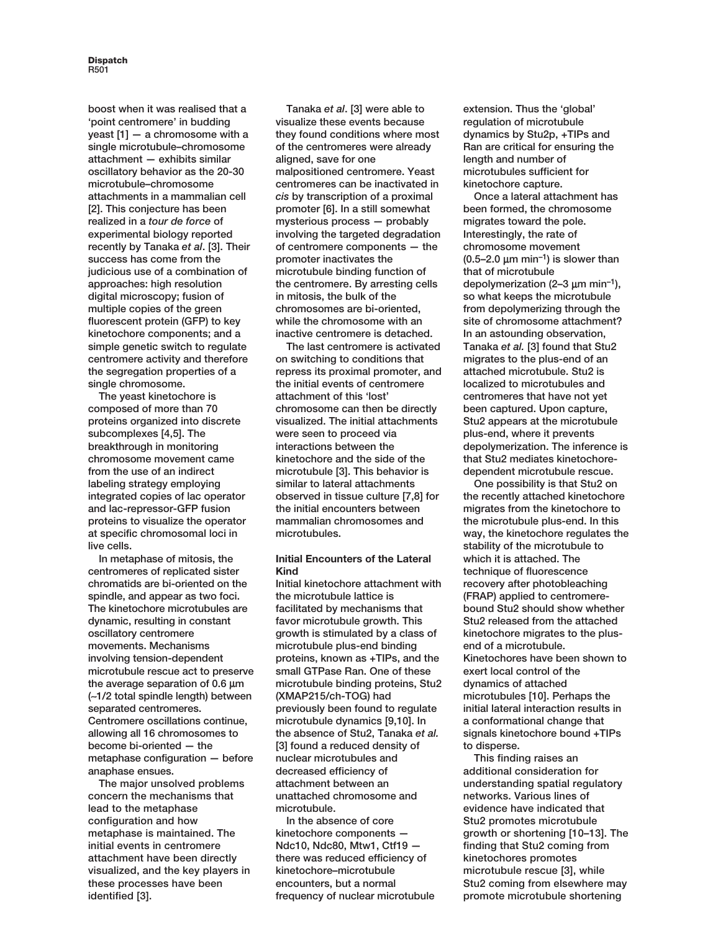**Dispatch R501**

**boost when it was realised that a 'point centromere' in budding yeast [1] — a chromosome with a single microtubule–chromosome attachment — exhibits similar oscillatory behavior as the 20-30 microtubule–chromosome attachments in a mammalian cell [2]. This conjecture has been realized in a** *tour de force* **of experimental biology reported recently by Tanaka** *et al***. [3]. Their success has come from the judicious use of a combination of approaches: high resolution digital microscopy; fusion of multiple copies of the green fluorescent protein (GFP) to key kinetochore components; and a simple genetic switch to regulate centromere activity and therefore the segregation properties of a single chromosome.**

**The yeast kinetochore is composed of more than 70 proteins organized into discrete subcomplexes [4,5]. The breakthrough in monitoring chromosome movement came from the use of an indirect labeling strategy employing integrated copies of lac operator and lac-repressor-GFP fusion proteins to visualize the operator at specific chromosomal loci in live cells.** 

**In metaphase of mitosis, the centromeres of replicated sister chromatids are bi-oriented on the spindle, and appear as two foci. The kinetochore microtubules are dynamic, resulting in constant oscillatory centromere movements. Mechanisms involving tension-dependent microtubule rescue act to preserve the average separation of 0.6** µ**m (**∼**1/2 total spindle length) between separated centromeres. Centromere oscillations continue, allowing all 16 chromosomes to become bi-oriented — the metaphase configuration — before anaphase ensues.** 

**The major unsolved problems concern the mechanisms that lead to the metaphase configuration and how metaphase is maintained. The initial events in centromere attachment have been directly visualized, and the key players in these processes have been identified [3].**

**Tanaka** *et al***. [3] were able to visualize these events because they found conditions where most of the centromeres were already aligned, save for one malpositioned centromere. Yeast centromeres can be inactivated in** *cis* **by transcription of a proximal promoter [6]. In a still somewhat mysterious process — probably involving the targeted degradation of centromere components — the promoter inactivates the microtubule binding function of the centromere. By arresting cells in mitosis, the bulk of the chromosomes are bi-oriented, while the chromosome with an inactive centromere is detached.**

**The last centromere is activated on switching to conditions that repress its proximal promoter, and the initial events of centromere attachment of this 'lost' chromosome can then be directly visualized. The initial attachments were seen to proceed via interactions between the kinetochore and the side of the microtubule [3]. This behavior is similar to lateral attachments observed in tissue culture [7,8] for the initial encounters between mammalian chromosomes and microtubules.**

## **Initial Encounters of the Lateral Kind**

**Initial kinetochore attachment with the microtubule lattice is facilitated by mechanisms that favor microtubule growth. This growth is stimulated by a class of microtubule plus-end binding proteins, known as +TIPs, and the small GTPase Ran. One of these microtubule binding proteins, Stu2 (XMAP215/ch-TOG) had previously been found to regulate microtubule dynamics [9,10]. In the absence of Stu2, Tanaka** *et al.* **[3] found a reduced density of nuclear microtubules and decreased efficiency of attachment between an unattached chromosome and microtubule.** 

**In the absence of core kinetochore components — Ndc10, Ndc80, Mtw1, Ctf19 there was reduced efficiency of kinetochore–microtubule encounters, but a normal frequency of nuclear microtubule**

**extension. Thus the 'global' regulation of microtubule dynamics by Stu2p, +TIPs and Ran are critical for ensuring the length and number of microtubules sufficient for kinetochore capture.**

**Once a lateral attachment has been formed, the chromosome migrates toward the pole. Interestingly, the rate of chromosome movement (0.5–2.0** µ**m min–1) is slower than that of microtubule depolymerization (2–3** µ**m min–1), so what keeps the microtubule from depolymerizing through the site of chromosome attachment? In an astounding observation, Tanaka** *et al.* **[3] found that Stu2 migrates to the plus-end of an attached microtubule. Stu2 is localized to microtubules and centromeres that have not yet been captured. Upon capture, Stu2 appears at the microtubule plus-end, where it prevents depolymerization. The inference is that Stu2 mediates kinetochoredependent microtubule rescue.**

**One possibility is that Stu2 on the recently attached kinetochore migrates from the kinetochore to the microtubule plus-end. In this way, the kinetochore regulates the stability of the microtubule to which it is attached. The technique of fluorescence recovery after photobleaching (FRAP) applied to centromerebound Stu2 should show whether Stu2 released from the attached kinetochore migrates to the plusend of a microtubule. Kinetochores have been shown to exert local control of the dynamics of attached microtubules [10]. Perhaps the initial lateral interaction results in a conformational change that signals kinetochore bound +TIPs to disperse.**

**This finding raises an additional consideration for understanding spatial regulatory networks. Various lines of evidence have indicated that Stu2 promotes microtubule growth or shortening [10–13]. The finding that Stu2 coming from kinetochores promotes microtubule rescue [3], while Stu2 coming from elsewhere may promote microtubule shortening**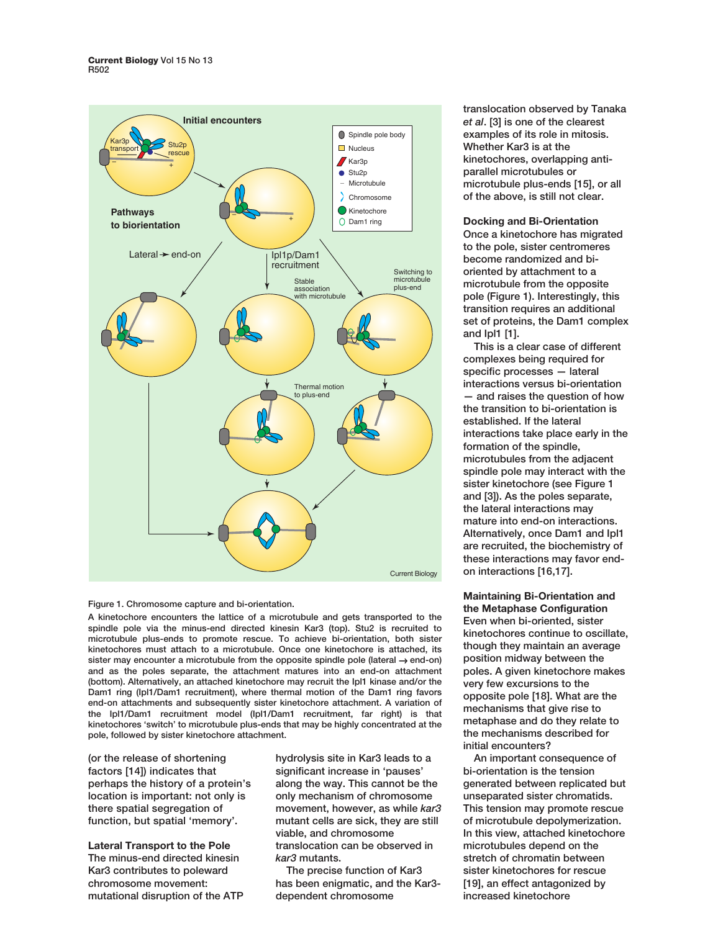**Current Biology Vol 15 No 13 R502**



#### **Figure 1. Chromosome capture and bi-orientation.**

**A kinetochore encounters the lattice of a microtubule and gets transported to the spindle pole via the minus-end directed kinesin Kar3 (top). Stu2 is recruited to microtubule plus-ends to promote rescue. To achieve bi-orientation, both sister kinetochores must attach to a microtubule. Once one kinetochore is attached, its sister may encounter a microtubule from the opposite spindle pole (lateral** → **end-on) and as the poles separate, the attachment matures into an end-on attachment (bottom). Alternatively, an attached kinetochore may recruit the Ipl1 kinase and/or the Dam1 ring (Ipl1/Dam1 recruitment), where thermal motion of the Dam1 ring favors end-on attachments and subsequently sister kinetochore attachment. A variation of the Ipl1/Dam1 recruitment model (Ipl1/Dam1 recruitment, far right) is that kinetochores 'switch' to microtubule plus-ends that may be highly concentrated at the pole, followed by sister kinetochore attachment.**

**(or the release of shortening factors [14]) indicates that perhaps the history of a protein's location is important: not only is there spatial segregation of function, but spatial 'memory'.**

**Lateral Transport to the Pole The minus-end directed kinesin Kar3 contributes to poleward chromosome movement: mutational disruption of the ATP** **hydrolysis site in Kar3 leads to a significant increase in 'pauses' along the way. This cannot be the only mechanism of chromosome movement, however, as while** *kar3* **mutant cells are sick, they are still viable, and chromosome translocation can be observed in** *kar3* **mutants.**

**The precise function of Kar3 has been enigmatic, and the Kar3 dependent chromosome**

**translocation observed by Tanaka** *et al***. [3] is one of the clearest examples of its role in mitosis. Whether Kar3 is at the kinetochores, overlapping antiparallel microtubules or microtubule plus-ends [15], or all of the above, is still not clear.**

### **Docking and Bi-Orientation**

**Once a kinetochore has migrated to the pole, sister centromeres become randomized and bioriented by attachment to a microtubule from the opposite pole (Figure 1). Interestingly, this transition requires an additional set of proteins, the Dam1 complex and Ipl1 [1].** 

**This is a clear case of different complexes being required for specific processes — lateral interactions versus bi-orientation — and raises the question of how the transition to bi-orientation is established. If the lateral interactions take place early in the formation of the spindle, microtubules from the adjacent spindle pole may interact with the sister kinetochore (see Figure 1 and [3]). As the poles separate, the lateral interactions may mature into end-on interactions. Alternatively, once Dam1 and Ipl1 are recruited, the biochemistry of these interactions may favor endon interactions [16,17].**

**Maintaining Bi-Orientation and the Metaphase Configuration Even when bi-oriented, sister kinetochores continue to oscillate, though they maintain an average position midway between the poles. A given kinetochore makes very few excursions to the opposite pole [18]. What are the mechanisms that give rise to metaphase and do they relate to the mechanisms described for initial encounters?** 

**An important consequence of bi-orientation is the tension generated between replicated but unseparated sister chromatids. This tension may promote rescue of microtubule depolymerization. In this view, attached kinetochore microtubules depend on the stretch of chromatin between sister kinetochores for rescue [19], an effect antagonized by increased kinetochore**